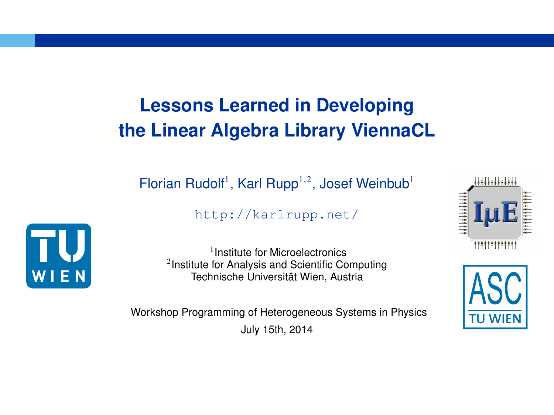# **Lessons Learned in Developing the Linear Algebra Library ViennaCL**

Florian Rudolf<sup>1</sup>, Karl Rupp<sup>1,2</sup>, Josef Weinbub<sup>1</sup>

http://karlrupp.net/



1 Institute for Microelectronics <sup>2</sup> Institute for Analysis and Scientific Computing Technische Universität Wien, Austria

Workshop Programming of Heterogeneous Systems in Physics July 15th, 2014



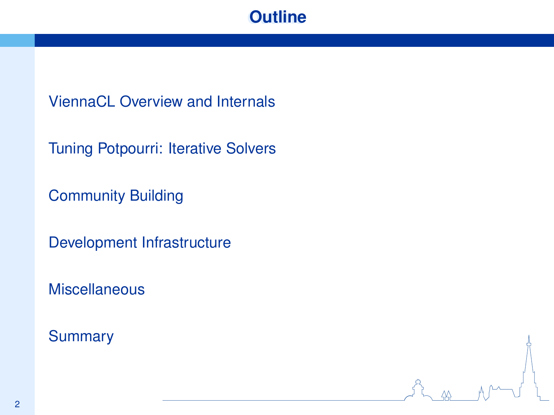## **Outline**

ViennaCL Overview and Internals

Tuning Potpourri: Iterative Solvers

Community Building

Development Infrastructure

**Miscellaneous** 

**Summary**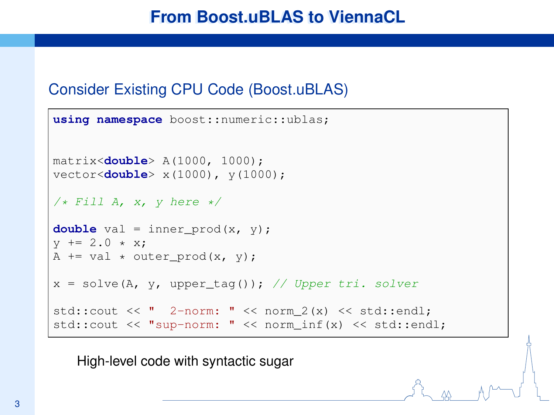### Consider Existing CPU Code (Boost.uBLAS)

```
using namespace boost::numeric::ublas;
matrix<double> A(1000, 1000);
vector<double> x(1000), y(1000);
/* Fill A, x, y here */double val = inner prod(x, y):
y := 2.0 \times x:
A += val \star outer prod(x, y);
x = solve(A, y, upper tag()); // Upper tri. solver
std::cout \lt\lt " 2-norm: " \lt\lt norm 2(x) \lt\lt std::endl:
std::cout << "sup-norm: " << norm_inf(x) << std::endl;
```
High-level code with syntactic sugar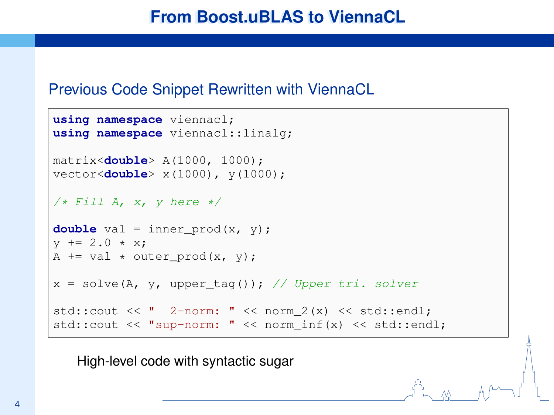#### Previous Code Snippet Rewritten with ViennaCL

```
using namespace viennacl;
using namespace viennacl::linalg;
matrix<double> A(1000, 1000);
vector<double> x(1000), y(1000);
/* Fill A, x, v here */double val = inner prod(x, y):
y := 2.0 \times x:
A += val * outer_prod(x, y);
x = solve(A, y, upper\_tag()); // Upper tri. solver
std::cout \lt\lt " 2-norm: " \lt\lt norm 2(x) \lt\lt std::endl:
std::cout << "sup-norm: " << norm_inf(x) << std::endl;
```
High-level code with syntactic sugar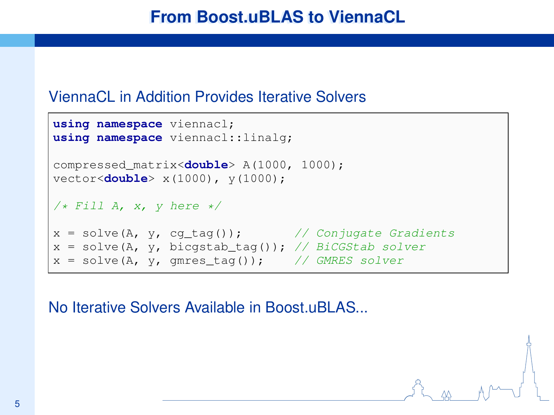#### ViennaCL in Addition Provides Iterative Solvers

```
using namespace viennacl;
using namespace viennacl::linalg;
compressed_matrix<double> A(1000, 1000);
vector<double> x(1000), y(1000);
/* Fill A, x, y here */
x = solve(A, y, cg\_tag()); // Conjugate Gradients
x = solve(A, y, bicgstab\_tag()); // BiCGStab solver
x = solve(A, y, qmres\_tag()); // GMRES solver
```
No Iterative Solvers Available in Boost.uBLAS...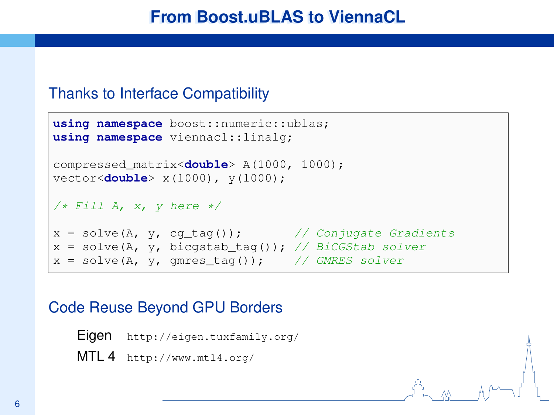#### Thanks to Interface Compatibility

```
using namespace boost::numeric::ublas;
using namespace viennacl::linalg;
compressed_matrix<double> A(1000, 1000);
vector<double> x(1000), y(1000);
/* Fill A, x, y here */
x = solve(A, y, cg\_tag()); // Conjugate Gradients
x = solve(A, y, bicgstab\_tag()); // BiCGStab solver
x = solve(A, y, qmres\_tag()); // GMRES solver
```
### Code Reuse Beyond GPU Borders

```
Eigen http://eigen.tuxfamily.org/
MTL 4 http://www.mtl4.org/
```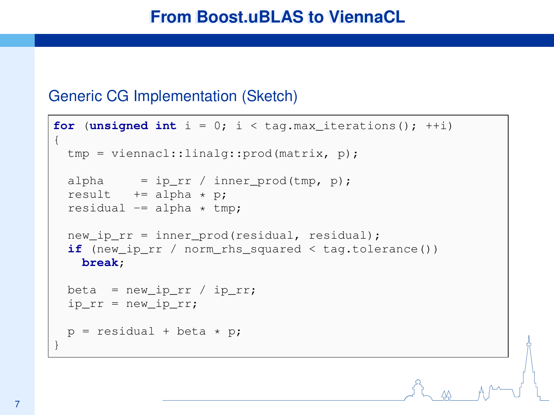#### Generic CG Implementation (Sketch)

```
for (unsigned int i = 0; i < t ag.max iterations(); +i)
{
  tmp = viennacl::linalg::prod(matrix, p);
  alpha = ip\_rr / inner_prod(tmp, p);
  result += alpha * p:
  residual == alpha * tmp;
  new ip rr = inner prod(residual, residual):
  if (new_ip_rr / norm_rhs_squared < tag.tolerance())
   break;
  beta = new\_ip\_rr / ip\_rr;ip\_rr = new\_ip\_rr;p = residual + beta * p;
}
```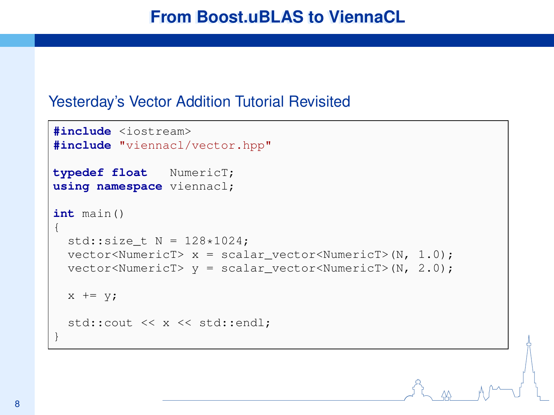#### Yesterday's Vector Addition Tutorial Revisited

```
#include <iostream>
#include "viennacl/vector.hpp"
typedef float NumericT;
using namespace viennacl;
int main()
{
  std::size t N = 128*1024;
  vector<NumericT> x = scalar\_vector<NumericT>(N, 1.0);
  vector<NumericT> y = scalar_vector<NumericT>(N, 2.0);
  x += v;
  std::cout << x << std::endl;
}
```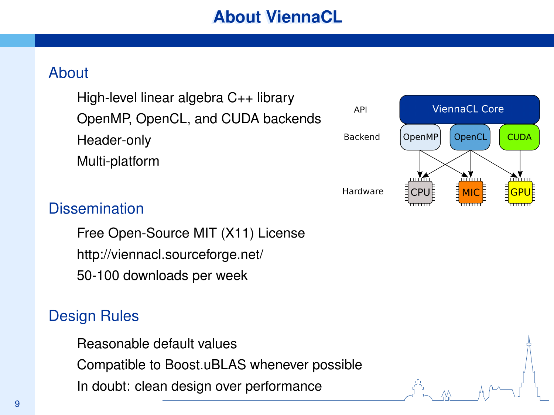**API** 

### **About**

High-level linear algebra C++ library OpenMP, OpenCL, and CUDA backends Header-only Multi-platform

#### **ViennaCL Core** OpenMP OpenCL **CUDA** Backend Hardware **MIC** GPI

### **Dissemination**

Free Open-Source MIT (X11) License http://viennacl.sourceforge.net/ 50-100 downloads per week

### Design Rules

Reasonable default values Compatible to Boost.uBLAS whenever possible In doubt: clean design over performance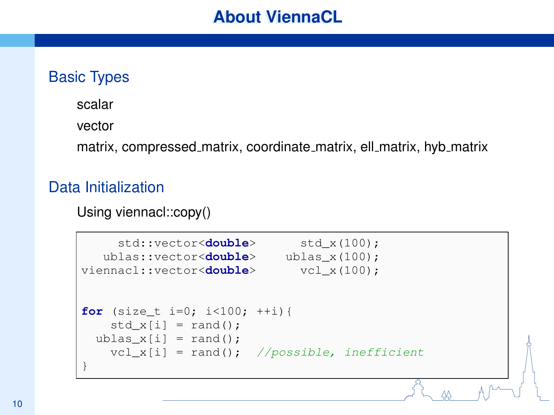### Basic Types

scalar

vector

matrix, compressed matrix, coordinate matrix, ell matrix, hyb matrix

### Data Initialization

Using viennacl::copy()

```
std::vector<double> std x(100);
  ublas::vector<double> ublas x(100);
viennacl::vector<double> vcl x(100);
for (size t i=0; i<100; ++i){
   std x[i] = rand();
 ublas_x[i] = rand();
   vcl x[i] = rand(); //possible, inefficient
}
```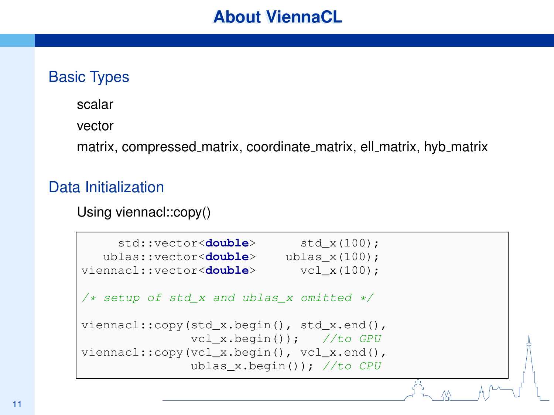### Basic Types

scalar

vector

matrix, compressed matrix, coordinate matrix, ell matrix, hyb matrix

### Data Initialization

Using viennacl::copy()

```
std::vector<double> std x(100);
   ublas::vector<double> ublas x(100);
viennacl::vector<double> vcl_x(100);
/* setup of std x and ublas x omitted */
viennacl::copy(std x.begin(), std x.end(),
              vcl x.begin()); //to GPU
viennacl::copy(vcl_x.begin(), vcl_x.end(),
              ublas x.beqin()); //to CPU
```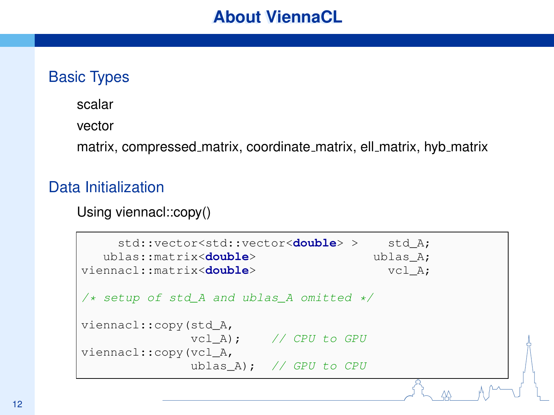### Basic Types

scalar

vector

matrix, compressed matrix, coordinate matrix, ell matrix, hyb matrix

### Data Initialization

Using viennacl::copy()

```
std::vector<std::vector<double> > std A;
  ublas::matrix<double> ublas A;
viennacl::matrix<double> vcl A;
/* setup of std A and ublas A omitted */
viennacl::copy(std_A,
           vcl A); // CPU to GPU
viennacl::copy(vcl_A,
            ublas A): // GPU to CPU
```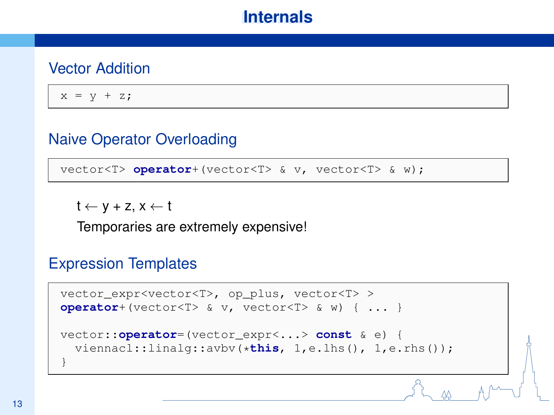### Vector Addition

 $x = y + z;$ 

### Naive Operator Overloading

vector<T> **operator**+(vector<T> & v, vector<T> & w);

 $t \leftarrow y + z$ ,  $x \leftarrow t$ 

Temporaries are extremely expensive!

#### Expression Templates

```
vector_expr<vector<T>, op_plus, vector<T> >
operator+(vector<T> & v, vector<T> & w) { ... }
vector::operator=(vector_expr<...> const & e) {
 viennacl::linalg::avbv(*this, 1,e.lhs(), 1,e.rhs());
}
```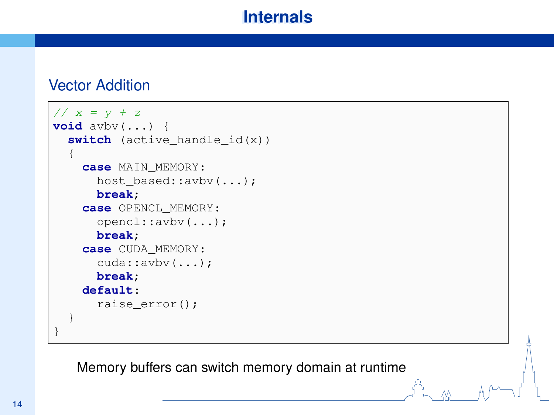### Vector Addition

```
// x = y + zvoid avbv(...) {
  switch (active handle id(x))
  {
    case MAIN_MEMORY:
      host_based::avbv(...);
      break;
    case OPENCL_MEMORY:
      opencl::avbv(...);
      break;
    case CUDA_MEMORY:
      cuda::avbv(...);
      break;
    default:
      raise_error();
  }
}
```
Memory buffers can switch memory domain at runtime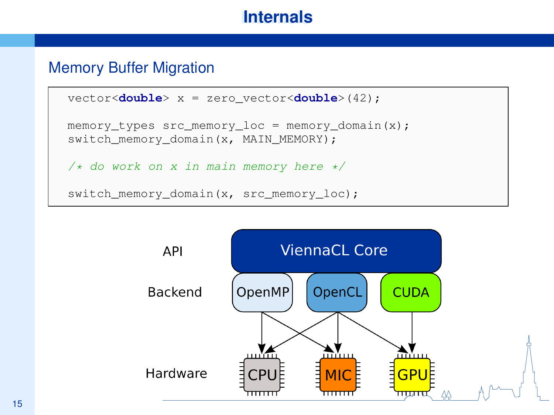### Memory Buffer Migration

```
vector<double> x = zero_vector<double>(42);
memory_types src_memory_loc = memory_domain(x);
switch_memory_domain(x, MAIN_MEMORY);
/* do work on x in main memory here */switch_memory_domain(x, src_memory_loc);
```
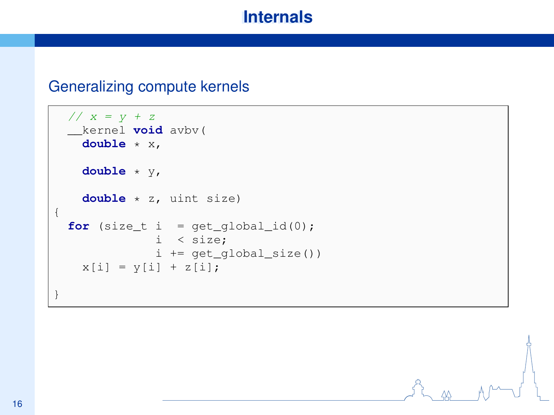#### Generalizing compute kernels

```
// x = y + z__kernel void avbv(
   double * x,
   double * y,
   double * z, uint size)
{
 for (size_t i = get_global_id(0);i < size;
             i += get_global_size())
   x[i] = y[i] + z[i];}
```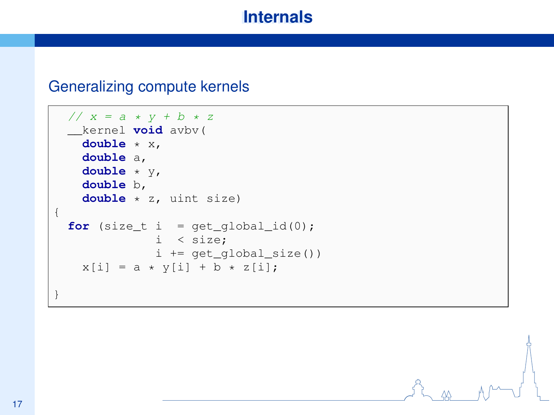#### Generalizing compute kernels

```
// x = a * y + b * z__kernel void avbv(
   double * x,
   double a,
   double * y,
   double b,
   double * z, uint size)
{
 for (size_t i = get_global_id(0);i < size;
             i += get_global_size())
   x[i] = a * y[i] + b * z[i];
```
}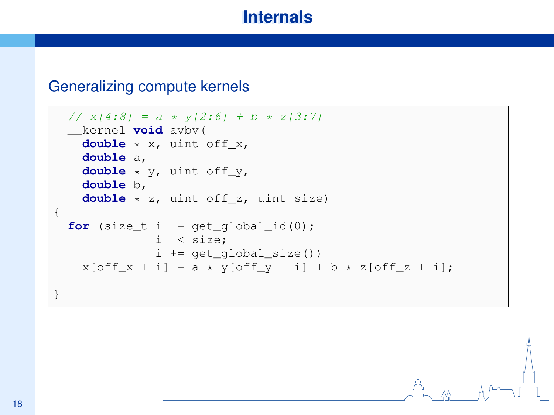#### Generalizing compute kernels

```
// x[4:8] = a * y[2:6] + b * z[3:7]__kernel void avbv(
   double * x, uint off_x,
   double a,
   double * y, uint off_y,
   double b,
   double * z, uint off_z, uint size)
{
 for (size_t i = get_global_id(0);i < size;
             i += get_global_size())
   x[off_x + i] = a * y[off_y + i] + b * z[off_z + i];
```
}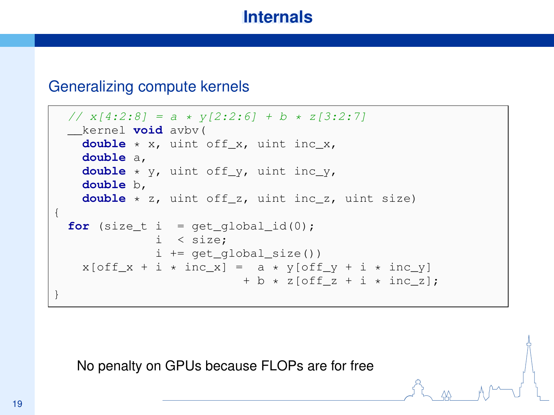#### Generalizing compute kernels

```
// x[4:2:8] = a * y[2:2:6] + b * z[3:2:7]__kernel void avbv(
   double * x, uint off_x, uint inc_x,
   double a,
   double * y, uint off_y, uint inc_y,
   double b,
   double * z, uint off_z, uint inc_z, uint size)
{
 for (size_t i = get_qlobal_id(0);
             i < size;
             i += get_global_size())
   x[off_x + i * inc_x] = a * y[off_y + i * inc_y]+ b * z[off z + i * inc z];
}
```
No penalty on GPUs because FLOPs are for free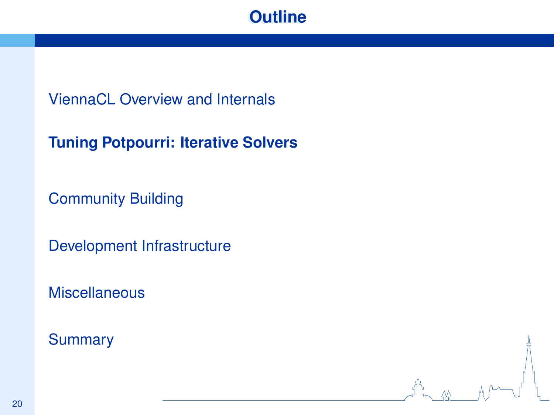## **Outline**

### ViennaCL Overview and Internals

### **Tuning Potpourri: Iterative Solvers**

Community Building

Development Infrastructure

**Miscellaneous** 

**Summary**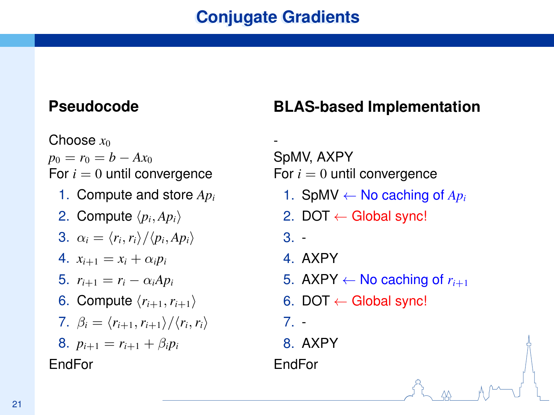### **Pseudocode**

Choose *x*<sub>0</sub>  $p_0 = r_0 = b - Ax_0$ For  $i = 0$  until convergence 1. Compute and store *Ap<sup>i</sup>* 2. Compute  $\langle p_i, Ap_i \rangle$ 3.  $\alpha_i = \langle r_i, r_i \rangle / \langle p_i, Ap_i \rangle$ 4.  $x_{i+1} = x_i + \alpha_i p_i$ 5.  $r_{i+1} = r_i - \alpha_i Ap_i$ 6. Compute  $\langle r_{i+1}, r_{i+1} \rangle$ 7.  $\beta_i = \langle r_{i+1}, r_{i+1} \rangle / \langle r_i, r_i \rangle$ 8.  $p_{i+1} = r_{i+1} + \beta_i p_i$ EndFor

## **BLAS-based Implementation**

- SpMV, AXPY For  $i = 0$  until convergence

- 1. SpMV  $\leftarrow$  No caching of  $Ap_i$
- 2. DOT  $\leftarrow$  Global sync!
- 3. -
- 4. AXPY
- 5. AXPY  $\leftarrow$  No caching of  $r_{i+1}$
- 6. DOT  $\leftarrow$  Global sync!
- 7. -

8. AXPY

EndFor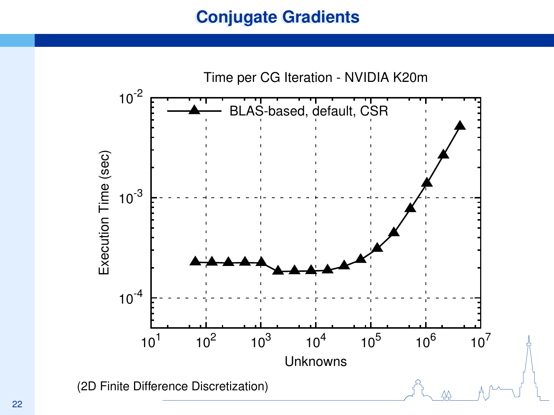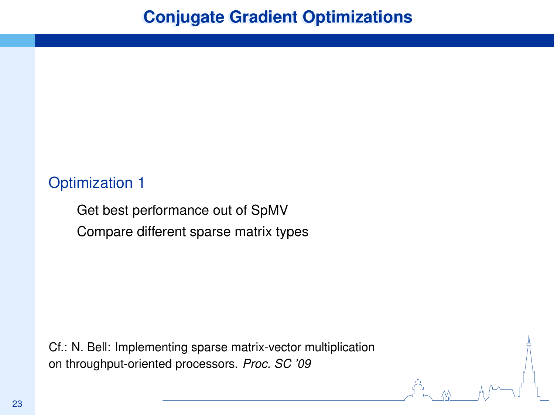### Optimization 1

Get best performance out of SpMV Compare different sparse matrix types

Cf.: N. Bell: Implementing sparse matrix-vector multiplication on throughput-oriented processors. *Proc. SC '09*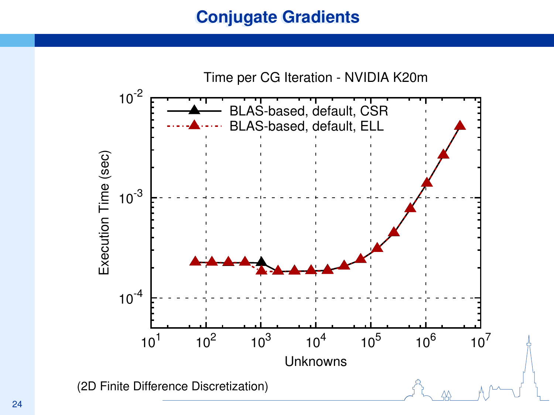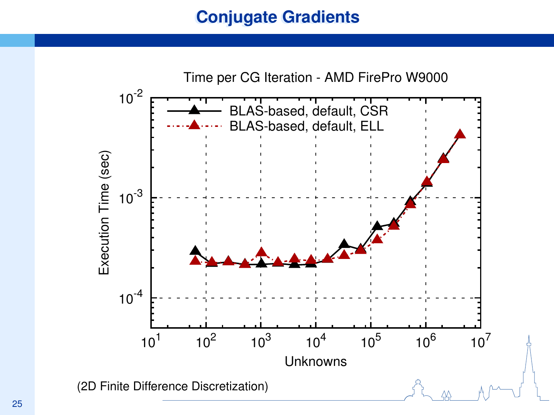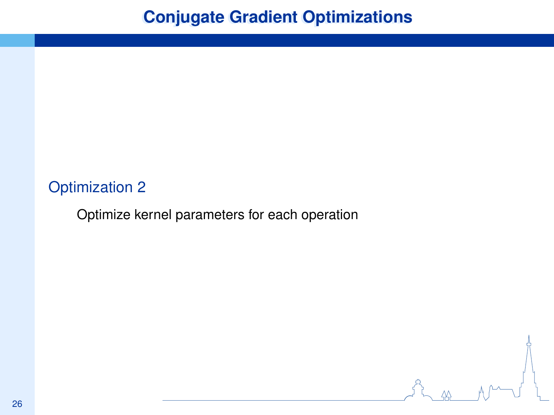## **Conjugate Gradient Optimizations**

t<br>L<u>as</u> M<sup>um</sup>ul

### Optimization 2

Optimize kernel parameters for each operation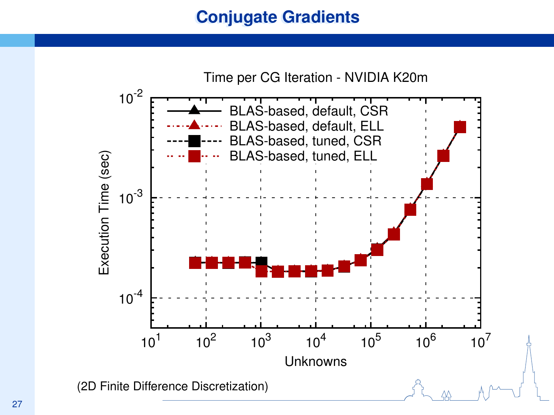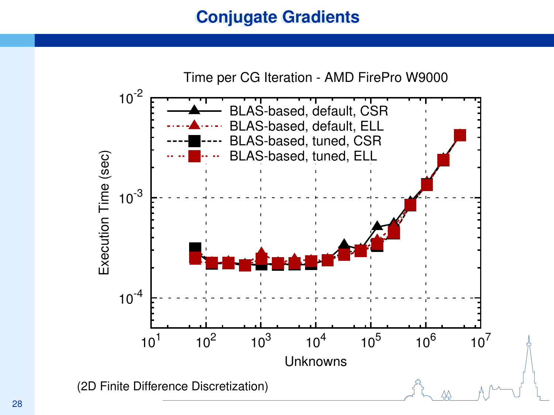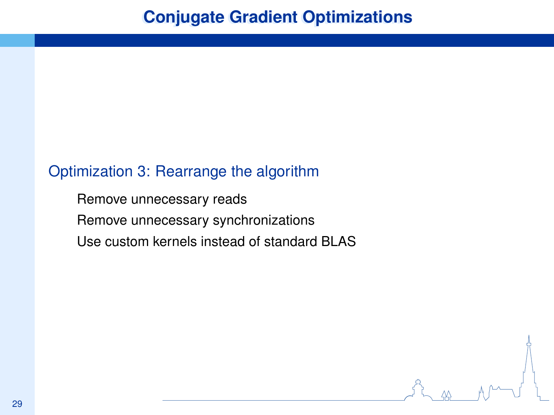### Optimization 3: Rearrange the algorithm

Remove unnecessary reads Remove unnecessary synchronizations Use custom kernels instead of standard BLAS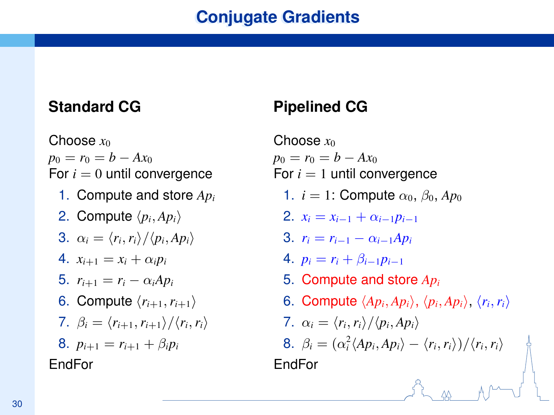### **Standard CG**

Choose  $x_0$  $p_0 = r_0 = b - Ax_0$ For  $i = 0$  until convergence 1. Compute and store *Ap<sup>i</sup>* 2. Compute  $\langle p_i, Ap_i \rangle$ 3.  $\alpha_i = \langle r_i, r_i \rangle / \langle p_i, Ap_i \rangle$ 4.  $x_{i+1} = x_i + \alpha_i p_i$ 5.  $r_{i+1} = r_i - \alpha_i A p_i$ 6. Compute  $\langle r_{i+1}, r_{i+1} \rangle$ 7.  $\beta_i = \langle r_{i+1}, r_{i+1} \rangle / \langle r_i, r_i \rangle$ 8.  $p_{i+1} = r_{i+1} + \beta_i p_i$ EndFor

## **Pipelined CG**

Choose  $x_0$  $p_0 = r_0 = b - Ax_0$ For  $i = 1$  until convergence 1.  $i = 1$ : Compute  $\alpha_0$ ,  $\beta_0$ ,  $Ap_0$ 2.  $x_i = x_{i-1} + \alpha_{i-1}p_{i-1}$ 3.  $r_i = r_{i-1} - \alpha_{i-1}Ap_i$ 4.  $p_i = r_i + \beta_{i-1} p_{i-1}$ 5. Compute and store *Ap<sup>i</sup>* 6. Compute  $\langle Ap_i, Ap_i \rangle$ ,  $\langle p_i, Ap_i \rangle$ ,  $\langle r_i, r_i \rangle$ 7.  $\alpha_i = \langle r_i, r_i \rangle / \langle p_i, Ap_i \rangle$ 8.  $\beta_i = (\alpha_i^2 \langle Ap_i, Ap_i \rangle - \langle r_i, r_i \rangle)/\langle r_i, r_i \rangle$ EndFor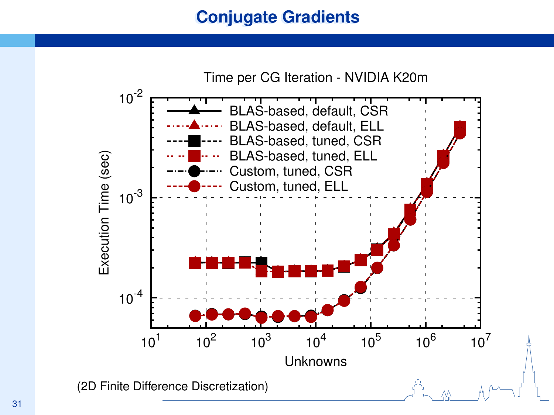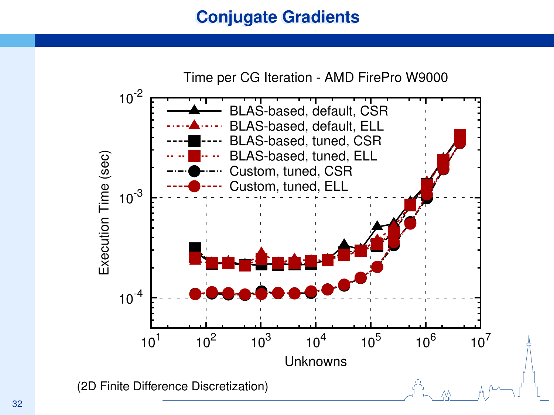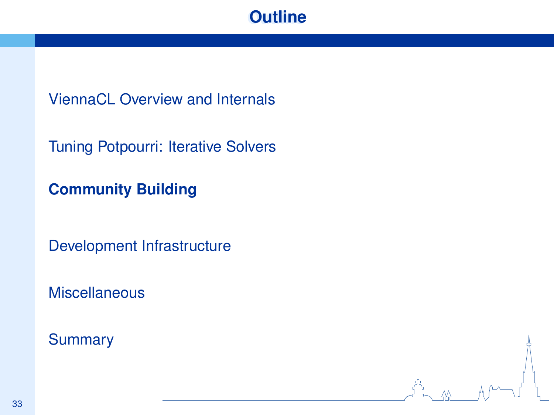## **Outline**

ViennaCL Overview and Internals

Tuning Potpourri: Iterative Solvers

**Community Building**

Development Infrastructure

**Miscellaneous** 

**Summary**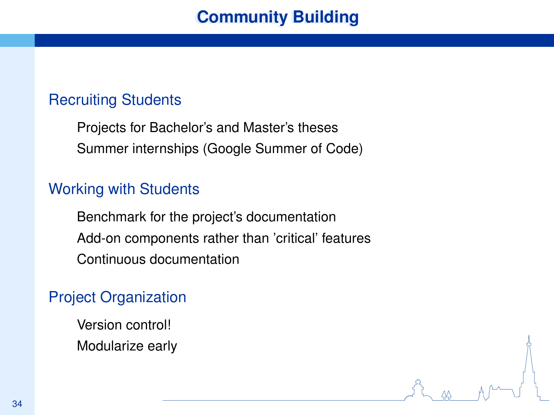## **Community Building**

### Recruiting Students

Projects for Bachelor's and Master's theses Summer internships (Google Summer of Code)

#### Working with Students

Benchmark for the project's documentation Add-on components rather than 'critical' features Continuous documentation

### Project Organization

Version control! Modularize early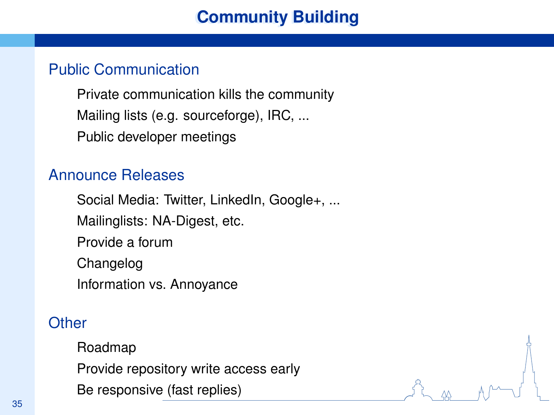## **Community Building**

### Public Communication

Private communication kills the community Mailing lists (e.g. sourceforge), IRC, ... Public developer meetings

### Announce Releases

Social Media: Twitter, LinkedIn, Google+, ... Mailinglists: NA-Digest, etc. Provide a forum Changelog Information vs. Annoyance

### **Other**

Roadmap Provide repository write access early Be responsive (fast replies)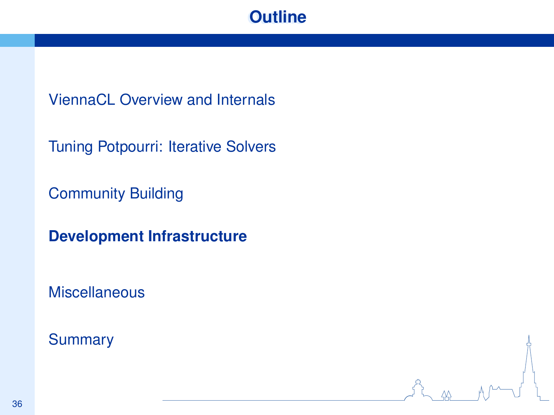## **Outline**

ViennaCL Overview and Internals

Tuning Potpourri: Iterative Solvers

Community Building

**Development Infrastructure**

Miscellaneous

**Summary**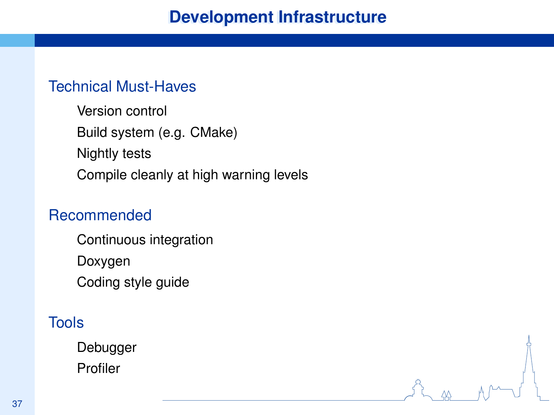### Technical Must-Haves

Version control Build system (e.g. CMake) Nightly tests Compile cleanly at high warning levels

### Recommended

Continuous integration Doxygen Coding style guide

### Tools

Debugger Profiler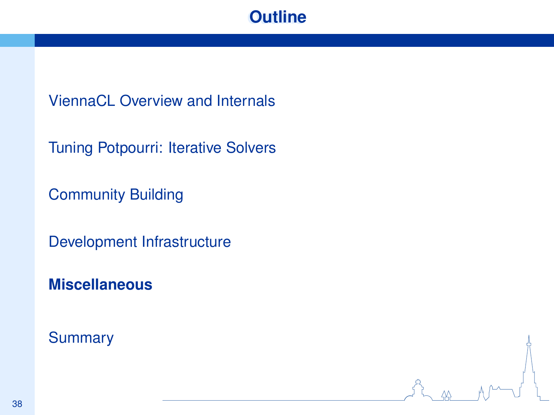## **Outline**

ViennaCL Overview and Internals

Tuning Potpourri: Iterative Solvers

Community Building

Development Infrastructure

**Miscellaneous**

**Summary**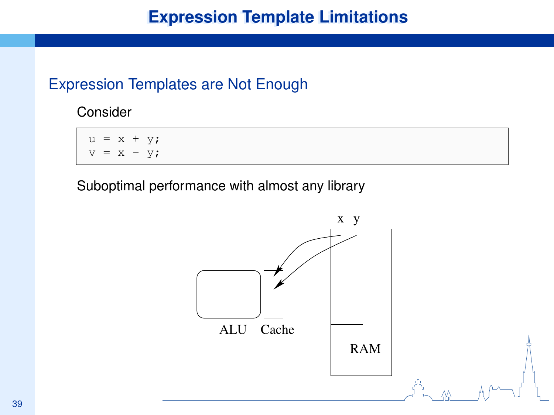## **Expression Template Limitations**

### Expression Templates are Not Enough

Consider

 $u = x + y;$  $= x - v;$ 

Suboptimal performance with almost any library

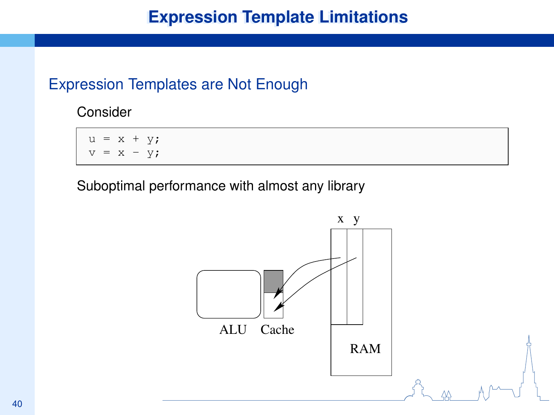## **Expression Template Limitations**

### Expression Templates are Not Enough

Consider

 $u = x + y;$  $= x - v;$ 

Suboptimal performance with almost any library

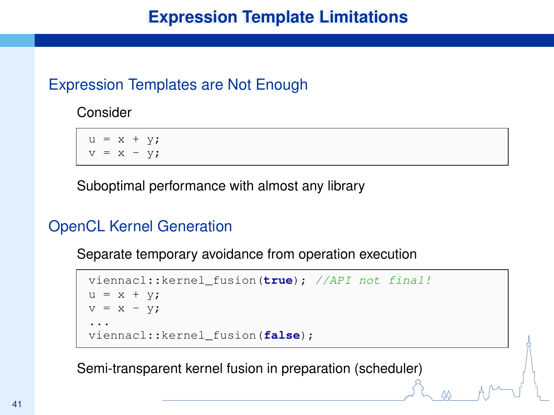## **Expression Template Limitations**

### Expression Templates are Not Enough

Consider

 $u = x + y;$  $v = x - v;$ 

Suboptimal performance with almost any library

### OpenCL Kernel Generation

Separate temporary avoidance from operation execution

```
viennacl::kernel_fusion(true); //API not final!
u = x + y;v = x - y;...
viennacl::kernel_fusion(false);
```
Semi-transparent kernel fusion in preparation (scheduler)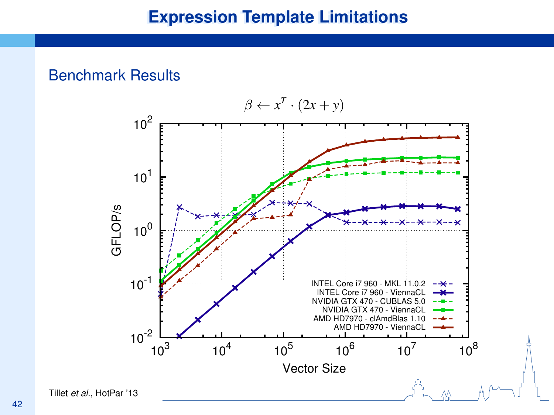### Benchmark Results

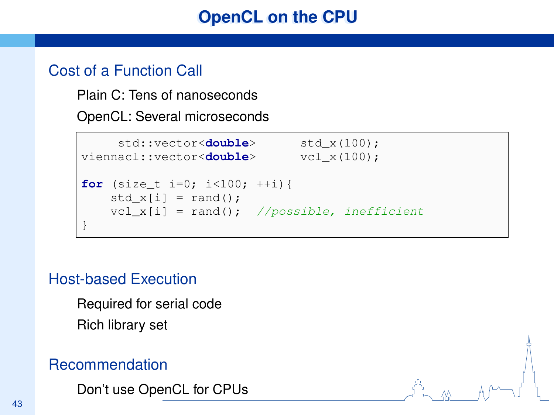## **OpenCL on the CPU**

### Cost of a Function Call

Plain C: Tens of nanoseconds

OpenCL: Several microseconds

```
std::vector<double> std x(100);
viennacl::vector<double> vcl x(100);
for (size_t i=0; i<100; ++i){
   std_x[i] = rand();
   vcl_x[i] = rand(); //possible, inefficient
}
```
### Host-based Execution

Required for serial code Rich library set

### Recommendation

Don't use OpenCL for CPUs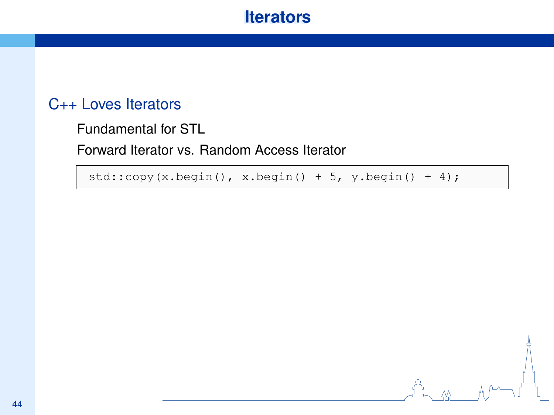### **Iterators**

### C++ Loves Iterators

Fundamental for STL

Forward Iterator vs. Random Access Iterator

 $std::copy(x.begin(), x.begin() + 5, y.begin() + 4);$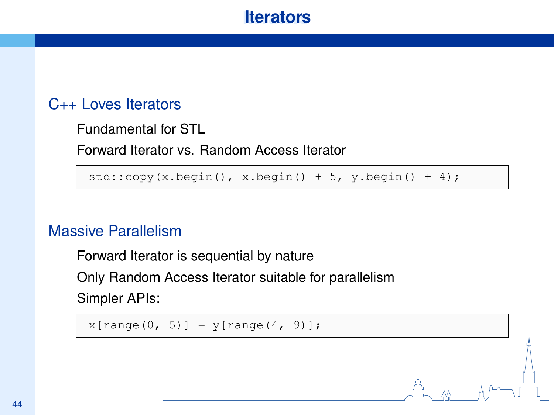## **Iterators**

### C++ Loves Iterators

Fundamental for STL

Forward Iterator vs. Random Access Iterator

 $std::copy(x.begin(), x.begin() + 5, y.begin() + 4);$ 

### Massive Parallelism

Forward Iterator is sequential by nature

Only Random Access Iterator suitable for parallelism Simpler APIs:

 $x$ [range(0, 5)] =  $y$ [range(4, 9)];